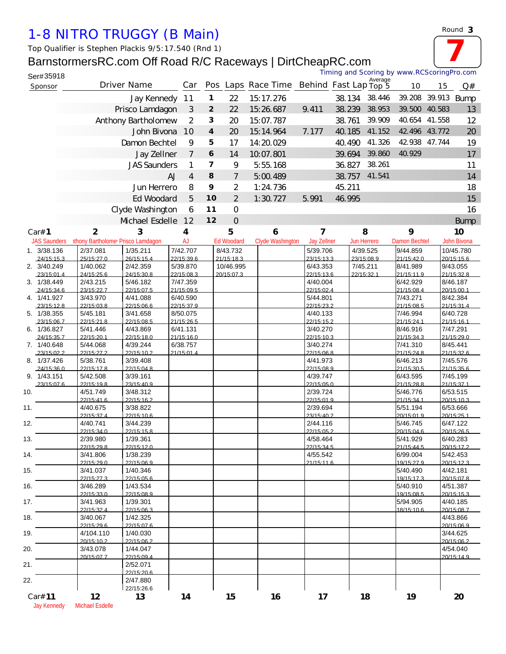## *1-8 NITRO TRUGGY (B Main)*

*Top Qualifier is Stephen Plackis 9/5:17.540 (Rnd 1)*

## BarnstormersRC.com Off Road R/C Raceways | DirtCheapRC.com

| Ser#35918                 |                         |                                                     |                        |                |                         |                       |                         |        |                        | Timing and Scoring by www.RCScoringPro.com |               |                        |
|---------------------------|-------------------------|-----------------------------------------------------|------------------------|----------------|-------------------------|-----------------------|-------------------------|--------|------------------------|--------------------------------------------|---------------|------------------------|
| Sponsor                   |                         | Driver Name                                         | Car                    |                |                         | Pos Laps Race Time    | Behind Fast Lap Top 5   |        | Average                | 10                                         | 15            | Q#                     |
|                           |                         | Jay Kennedy                                         | 11                     | 1              | 22                      | 15:17.276             |                         | 38.134 | 38.446                 |                                            | 39.208 39.913 | <b>Bump</b>            |
|                           |                         | Prisco Lamdagon                                     | 3                      | $\overline{2}$ | 22                      | 15:26.687             | 9.411                   | 38.239 | 38.953                 |                                            | 39.500 40.583 | 13                     |
|                           |                         | Anthony Bartholomew                                 | $\overline{2}$         | 3              | 20                      | 15:07.787             |                         | 38.761 | 39.909                 |                                            | 40.654 41.558 | 12                     |
|                           |                         | John Bivona                                         | 10                     | 4              | 20                      | 15:14.964             | 7.177                   | 40.185 | 41.152                 |                                            | 42 496 43 772 | 20                     |
|                           |                         | Damon Bechtel                                       | 9                      | 5              | 17                      | 14:20.029             |                         | 40.490 | 41.326                 |                                            | 42 938 47.744 | 19                     |
|                           |                         | Jay Zellner                                         | $\overline{7}$         | 6              | 14                      | 10.07.801             |                         | 39.694 | 39.860                 | 40.929                                     |               | 17                     |
|                           |                         | <b>JAS Saunders</b>                                 | 1                      | $\overline{7}$ | 9                       | 5:55.168              |                         | 36.827 | 38.261                 |                                            |               | 11                     |
|                           |                         | <b>AJ</b>                                           | 4                      | 8              | $\overline{7}$          | 5:00.489              |                         | 38.757 | 41.541                 |                                            |               | 14                     |
|                           |                         | Jun Herrero                                         | 8                      | 9              | 2                       | 1:24.736              |                         | 45.211 |                        |                                            |               | 18                     |
|                           |                         | Ed Woodard                                          | 5                      | 10             | $\overline{2}$          | 1:30.727              | 5.991                   | 46.995 |                        |                                            |               | 15                     |
|                           |                         | Clyde Washington                                    | 6                      | 11             | $\mathbf 0$             |                       |                         |        |                        |                                            |               | 16                     |
|                           |                         | Mchael Esdelle                                      | 12                     | 12             | $\overline{O}$          |                       |                         |        |                        |                                            |               |                        |
|                           |                         |                                                     |                        |                |                         |                       |                         |        |                        |                                            |               | <b>Bump</b>            |
| Car# 1                    | $\mathbf{2}$            | 3<br>JAS Saunders nthony Bartholome Prisco Lamdagon | 4<br><b>AJ</b>         |                | 5<br><b>Ed Woodard</b>  | 6<br>Clyde Washington | 7<br><b>Jay Zellner</b> |        | 8<br>Jun Herrero       | 9<br>Damon Bechtel                         |               | 10<br>John Bivona      |
| 1. 3/38.136               | 2/37.081                | 1/35.211                                            | 7/42.707               |                | 8/43.732                |                       | 5/39.706                |        | 4/39.525               | 9/44.859                                   |               | 10/45.780              |
| 24/15:15.3                | 25/15:27.0              | 26/15:15.4                                          | 22/15:39.6             |                | 21/15:18.3              |                       | 23/15:13.3              |        | 23/15:08.9             | 21/15:42.0                                 |               | 20/15:15.6             |
| 2. 3/40.249               | 1/40.062                | 2/42.359                                            | 5/39.870<br>22/15:08.3 |                | 10/46.995<br>20/15:07.3 |                       | 6/43.353                |        | 7/45.211<br>22/15:32 1 | 8/41.989                                   |               | 9/43.055<br>21/15:32 8 |
| 23/15:01.4<br>3. 1/38.449 | 24/15:25.6<br>2/43.215  | 24/15:30.8<br>5/46.182                              | 7/47.359               |                |                         |                       | 22/15:13.6<br>4/40.004  |        |                        | 21/15:11.9<br>6/42.929                     |               | 8/46.187               |
| 24/15:34.6                | 23/15:22.7              | 22/15:07.5                                          | 21/15:09.5             |                |                         |                       | 22/15:02.4              |        |                        | 21/15:08.4                                 |               | 20/15:00.1             |
| 4. 1/41.927<br>23/15:12.8 | 3/43.970<br>22/15:03.8  | 4/41.088<br>22/15:06.6                              | 6/40.590<br>22/15:37.9 |                |                         |                       | 5/44.801<br>22/15:23.2  |        |                        | 7/43.271<br>21/15:08.5                     |               | 8/42.384<br>21/15:31.4 |
| 5. 1/38.355               | 5/45.181                | 3/41.658                                            | 8/50.075               |                |                         |                       | 4/40.133                |        |                        | 7/46.994                                   |               | 6/40.728               |
| 23/15:06.7                | 22/15:218               | 22/15:08.5                                          | 21/15:26.5             |                |                         |                       | 22/15:15.2              |        |                        | 21/15:241                                  |               | 21/15:161              |
| 6. 1/36.827<br>24/15:35.7 | 5/41.446<br>22/15:20.1  | 4/43.869<br>22/15:18.0                              | 6/41.131<br>21/15:16.0 |                |                         |                       | 3/40.270<br>22/15:10.3  |        |                        | 8/46.916<br>21/15:34.3                     |               | 7/47.291<br>21/15:29.0 |
| 7. 1/40.648               | 5/44.068                | 4/39.244                                            | 6/38.757               |                |                         |                       | 3/40.274                |        |                        | 7/41.310                                   |               | 8/45.441               |
| 23/15:02.2                | 22/15:27.2              | 22/15:10.2                                          | 21/15:01.4             |                |                         |                       | 22/15:06.8              |        |                        | 21/15:24.8                                 |               | 21/15:326              |
| 8. 1/37.426<br>24/15:36.0 | 5/38.761<br>22/15:17.8  | 3/39.408<br>22/15:04.8                              |                        |                |                         |                       | 4/41.973<br>22/15:08.9  |        |                        | 6/46.213<br>21/15:30.5                     |               | 7/45.576<br>21/15:35.6 |
| 9. 1/43.151               | 5/42.508                | 3/39.161                                            |                        |                |                         |                       | 4/39.747                |        |                        | 6/43.595                                   |               | 7/45.199               |
| 23/15:07.6<br>10.         | 22/15:19.8<br>4/51.749  | 23/15:40.9<br>3/48.312                              |                        |                |                         |                       | 22/15:05.0<br>2/39.724  |        |                        | 21/15:28.8<br>5/46.776                     |               | 21/15:37.1<br>6/53.515 |
|                           | 22/15:41.6              | 22/15:16.2                                          |                        |                |                         |                       | 22/15:01.9              |        |                        | 21/15:34.1                                 |               | 20/15:10.3             |
| 11.                       | 4/40.675                | 3/38.822                                            |                        |                |                         |                       | 2/39.694                |        |                        | 5/51.194                                   |               | 6/53.666               |
| 12.                       | 22/15:37.4<br>4/40.741  | 22/15:10.6<br>3/44.239                              |                        |                |                         |                       | 23/15:40.2<br>2/44.116  |        |                        | 20/15:01.9<br>5/46.745                     |               | 20/15:25.1<br>6/47.122 |
|                           | 22/15:34.0              | 22/15:15.8                                          |                        |                |                         |                       | 22/15:05.2              |        |                        | 20/15:04.6                                 |               | 20/15:26.5             |
| 13.                       | 2/39.980                | 1/39.361                                            |                        |                |                         |                       | 4/58.464                |        |                        | 5/41.929                                   |               | 6/40.283               |
| 14.                       | 22/15:29 8<br>3/41.806  | 22/15:12.0<br>1/38.239                              |                        |                |                         |                       | 22/15:34.5<br>4/55.542  |        |                        | 21/15:44.5<br>6/99.004                     |               | 20/15:17.2<br>5/42.453 |
|                           | 22/15:29.0              | 22/15:06.9                                          |                        |                |                         |                       | 21/15:11.6              |        |                        | 19/15:27.9                                 |               | 20/15:12.3             |
| 15.                       | 3/41.037                | 1/40.346                                            |                        |                |                         |                       |                         |        |                        | 5/40.490                                   |               | 4/42.181               |
| 16.                       | 22/15:27.3<br>3/46.289  | 22/15:05.6<br>1/43.534                              |                        |                |                         |                       |                         |        |                        | 19/15:17.3<br>5/40.910                     |               | 20/15:07.8<br>4/51.387 |
|                           | 22/15:33.0              | 22/15:08.9                                          |                        |                |                         |                       |                         |        |                        | 19/15:08.5                                 |               | 20/15:15.3             |
| 17.                       | 3/41.963<br>22/15:32.4  | 1/39.301<br>22/15:06.3                              |                        |                |                         |                       |                         |        |                        | 5/94.905<br>18/15:10.6                     |               | 4/40.185<br>20/15:08.7 |
| 18.                       | 3/40.067                | 1/42.325                                            |                        |                |                         |                       |                         |        |                        |                                            |               | 4/43.866               |
|                           | 22/15:29.6              | 22/15:07.6                                          |                        |                |                         |                       |                         |        |                        |                                            |               | 20/15:06.9             |
| 19.                       | 4/104.110<br>20/15:10.2 | 1/40.030<br>22/15:06.2                              |                        |                |                         |                       |                         |        |                        |                                            |               | 3/44.625<br>20/15:06.2 |
| 20.                       | 3/43.078                | 1/44.047                                            |                        |                |                         |                       |                         |        |                        |                                            |               | 4/54.040               |
|                           | 20/15:07.7              | 22/15:09.4                                          |                        |                |                         |                       |                         |        |                        |                                            |               | 20/15:14.9             |
| 21.                       |                         | 2/52.071<br>22/15:20.6                              |                        |                |                         |                       |                         |        |                        |                                            |               |                        |
| 22.                       |                         | 2/47.880                                            |                        |                |                         |                       |                         |        |                        |                                            |               |                        |
|                           |                         | 22/15:26.6                                          |                        |                |                         |                       |                         |        |                        |                                            |               |                        |
| Car# 11                   | 12                      | 13                                                  | 14                     |                | 15                      | 16                    | 17                      |        | 18                     | 19                                         |               | 20                     |

Jay Kennedy Mchael Esdelle

*Round* **3**

**7**